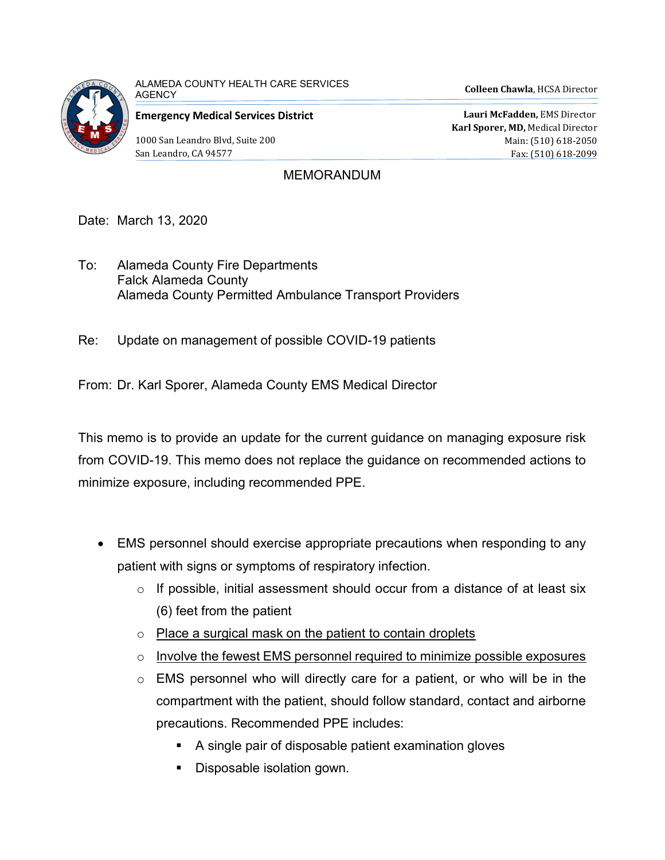

ALAMEDA COUNTY HEALTH CARE SERVICES ALAMEDA COONTITIEALTITUANE SENVIUES<br>AGENCY

Emergency Medical Services District

1000 San Leandro Blvd, Suite 200 San Leandro, CA 94577

 Lauri McFadden, EMS Director Karl Sporer, MD, Medical Director Main: (510) 618-2050 Fax: (510) 618-2099

MEMORANDUM

Date: March 13, 2020

- To: Alameda County Fire Departments Falck Alameda County Alameda County Permitted Ambulance Transport Providers
- Re: Update on management of possible COVID-19 patients

From: Dr. Karl Sporer, Alameda County EMS Medical Director

This memo is to provide an update for the current guidance on managing exposure risk from COVID-19. This memo does not replace the guidance on recommended actions to minimize exposure, including recommended PPE.

- EMS personnel should exercise appropriate precautions when responding to any patient with signs or symptoms of respiratory infection.
	- $\circ$  If possible, initial assessment should occur from a distance of at least six (6) feet from the patient
	- $\circ$  Place a surgical mask on the patient to contain droplets
	- o Involve the fewest EMS personnel required to minimize possible exposures
	- o EMS personnel who will directly care for a patient, or who will be in the compartment with the patient, should follow standard, contact and airborne precautions. Recommended PPE includes:
		- A single pair of disposable patient examination gloves
		- **Disposable isolation gown.**